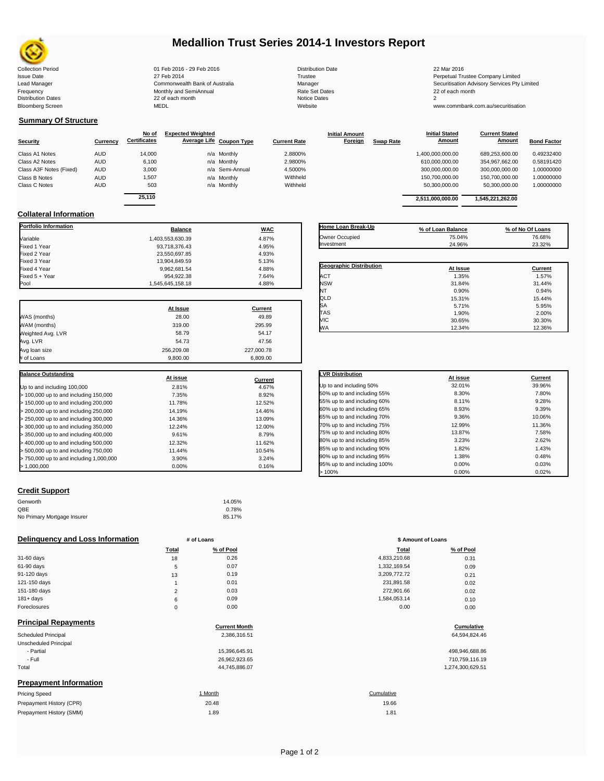

# **Medallion Trust Series 2014-1 Investors Report**

| <b>Collection Period</b>  | 01 Feb 2016 - 29 Feb 2016      | <b>Distribution Date</b> | 22 Mar 2016                             |
|---------------------------|--------------------------------|--------------------------|-----------------------------------------|
| <b>Issue Date</b>         | 27 Feb 2014                    | Trustee                  | Perpetual Trustee Company Limited       |
| Lead Manager              | Commonwealth Bank of Australia | Manager                  | Securitisation Advisory Services Pty Li |
| Frequency                 | Monthly and SemiAnnual         | <b>Rate Set Dates</b>    | 22 of each month                        |
| <b>Distribution Dates</b> | 22 of each month               | Notice Dates             |                                         |
| <b>Bloomberg Screen</b>   | <b>MEDL</b>                    | Website                  | www.commbank.com.au/securitisation      |
|                           |                                |                          |                                         |

Issue Date 27 Feb 2014 Trustee Perpetual Trustee Company Limited Lead Manager **Commonwealth Bank of Australia** Manager Manager Manager Securitisation Advisory Services Pty Limited<br>Trequency Securitisation Advisory Services Pty Limited<br>Frequency 22 of each month

**Current Stated** 

## **Summary Of Structure**

|                         |            | No of               | <b>Expected Weighted</b> |                     | <b>Initial Amount</b> | <b>Initial Stated</b>      | <b>Current Stated</b> |                    |
|-------------------------|------------|---------------------|--------------------------|---------------------|-----------------------|----------------------------|-----------------------|--------------------|
| <b>Security</b>         | Currency   | <b>Certificates</b> | Average Life Coupon Type | <b>Current Rate</b> | Foreign               | Amount<br><b>Swap Rate</b> | <b>Amount</b>         | <b>Bond Factor</b> |
| Class A1 Notes          | <b>AUD</b> | 14,000              | n/a Monthly              | 2.8800%             |                       | 1,400,000,000.00           | 689.253.600.00        | 0.49232400         |
| Class A2 Notes          | <b>AUD</b> | 6.100               | n/a Monthly              | 2.9800%             |                       | 610,000,000.00             | 354.967.662.00        | 0.58191420         |
| Class A3F Notes (Fixed) | <b>AUD</b> | 3,000               | n/a Semi-Annual          | 4.5000%             |                       | 300.000.000.00             | 300,000,000.00        | 1.00000000         |
| Class B Notes           | <b>AUD</b> | 1,507               | n/a Monthly              | Withheld            |                       | 150,700,000.00             | 150,700,000.00        | 1.00000000         |
| Class C Notes           | <b>AUD</b> | 503                 | n/a Monthly              | Withheld            |                       | 50,300,000.00              | 50,300,000.00         | 1.00000000         |
|                         |            | $\cdots$            |                          |                     |                       |                            |                       |                    |

|          | No of               | <b>Expected Weighted</b> |                          |                     | <b>Initial Amount</b> |                  | <b>Initial Stated</b> | <b>Current Stated</b> |                    |
|----------|---------------------|--------------------------|--------------------------|---------------------|-----------------------|------------------|-----------------------|-----------------------|--------------------|
| Currency | <b>Certificates</b> |                          | Average Life Coupon Type | <b>Current Rate</b> | <b>Foreign</b>        | <b>Swap Rate</b> | Amount                | Amount                | <b>Bond Factor</b> |
| AUD      | 14,000              |                          | n/a Monthly              | 2.8800%             |                       |                  | 1,400,000,000.00      | 689,253,600.00        | 0.49232400         |
| AUD      | 6,100               |                          | n/a Monthly              | 2.9800%             |                       |                  | 610.000.000.00        | 354,967,662.00        | 0.58191420         |
| AUD      | 3,000               |                          | n/a Semi-Annual          | 4.5000%             |                       |                  | 300.000.000.00        | 300,000,000.00        | 1.00000000         |
| AUD      | 1,507               |                          | n/a Monthly              | Withheld            |                       |                  | 150,700,000.00        | 150,700,000.00        | 00000000.1         |
| AUD      | 503                 |                          | n/a Monthly              | Withheld            |                       |                  | 50.300.000.00         | 50,300,000.00         | 1.00000000         |
|          | 25.110              |                          |                          |                     |                       |                  | 2,511,000,000.00      | 1,545,221,262.00      |                    |
|          |                     |                          |                          |                     |                       |                  |                       |                       |                    |

**Initial Stated** 

## **Collateral Information**

| <b>Portfolio Information</b>            | <b>Balance</b>   | <b>WAC</b> |
|-----------------------------------------|------------------|------------|
| Variable                                | 1,403,553,630.39 | 4.87%      |
| Fixed 1 Year                            | 93,718,376.43    | 4.95%      |
| Fixed 2 Year                            | 23,550,697.85    | 4.93%      |
| Fixed 3 Year                            | 13,904,849.59    | 5.13%      |
| Fixed 4 Year                            | 9,962,681.54     | 4.88%      |
| Fixed 5 + Year                          | 954,922.38       | 7.64%      |
| Pool                                    | 1,545,645,158.18 | 4.88%      |
|                                         |                  |            |
|                                         | At Issue         | Current    |
| WAS (months)                            | 28.00            | 49.89      |
| WAM (months)                            | 319.00           | 295.99     |
| Weighted Avg. LVR                       | 58.79            | 54.17      |
| Avg. LVR                                | 54.73            | 47.56      |
| Avg loan size                           | 256,209.08       | 227,000.78 |
| # of Loans                              | 9,800.00         | 6,809.00   |
| <b>Balance Outstanding</b>              |                  |            |
|                                         | At issue         | Current    |
| Up to and including 100,000             | 2.81%            | 4.67%      |
| > 100,000 up to and including 150,000   | 7.35%            | 8.92%      |
| > 150,000 up to and including 200,000   | 11.78%           | 12.52%     |
| > 200,000 up to and including 250,000   | 14.19%           | 14.46%     |
| > 250,000 up to and including 300,000   | 14.36%           | 13.09%     |
| > 300,000 up to and including 350,000   | 12.24%           | 12.00%     |
| > 350,000 up to and including 400,000   | 9.61%            | 8.79%      |
| > 400,000 up to and including 500,000   | 12.32%           | 11.62%     |
| > 500,000 up to and including 750,000   | 11.44%           | 10.54%     |
| > 750,000 up to and including 1,000,000 | 3.90%            | 3.24%      |
| > 1,000,000                             | 0.00%            | 0.16%      |

| Home Loan Break-Up             | % of Loan Balance | % of No Of Loans |
|--------------------------------|-------------------|------------------|
| Owner Occupied                 | 75.04%            | 76.68%           |
| Investment                     | 24.96%            | 23.32%           |
|                                |                   |                  |
| <b>Geographic Distribution</b> | At Issue          | Current          |
| <b>ACT</b>                     | 1.35%             | 1.57%            |
| <b>NSW</b>                     | 31.84%            | 31.44%           |
| NT                             | 0.90%             | 0.94%            |
| QLD                            | 15.31%            | 15.44%           |
| SA                             | 5.71%             | 5.95%            |
| TAS                            | 1.90%             | 2.00%            |
| VIC                            | 30.65%            | 30.30%           |
| <b>WA</b>                      | 12.34%            | 12.36%           |

| <b>LVR Distribution</b>      | At issue | Current |
|------------------------------|----------|---------|
| Up to and including 50%      | 32.01%   | 39.96%  |
| 50% up to and including 55%  | 8.30%    | 7.80%   |
| 55% up to and including 60%  | 8.11%    | 9.28%   |
| 60% up to and including 65%  | 8.93%    | 9.39%   |
| 65% up to and including 70%  | 9.36%    | 10.06%  |
| 70% up to and including 75%  | 12.99%   | 11.36%  |
| 75% up to and including 80%  | 13.87%   | 7.58%   |
| 80% up to and including 85%  | 3.23%    | 2.62%   |
| 85% up to and including 90%  | 1.82%    | 1.43%   |
| 90% up to and including 95%  | 1.38%    | 0.48%   |
| 95% up to and including 100% | 0.00%    | 0.03%   |
| >100%                        | 0.00%    | 0.02%   |

### **Credit Support**

Prepayment History (SMM)

| Genworth                    | 14.05% |
|-----------------------------|--------|
| QBE                         | 0.78%  |
| No Primary Mortgage Insurer | 85.17% |

### **Delinquency and Loss Information # of Loans # of Loans \$ Amount of Loans**

|              | Total                | % of Pool | Total        | % of Pool |
|--------------|----------------------|-----------|--------------|-----------|
| 31-60 days   | 18                   | 0.26      | 4,833,210.68 | 0.31      |
| 61-90 days   | 5                    | 0.07      | 1,332,169.54 | 0.09      |
| 91-120 days  | 13                   | 0.19      | 3,209,772.72 | 0.21      |
| 121-150 days |                      | 0.01      | 231,891.58   | 0.02      |
| 151-180 days | $\Omega$<br><u>.</u> | 0.03      | 272,901.66   | 0.02      |
| $181 + days$ | 6                    | 0.09      | 1,584,053.14 | 0.10      |
| Foreclosures | $\Omega$             | 0.00      | 0.00         | 0.00      |
|              |                      |           |              |           |

| <b>Principal Repayments</b>   |                      |                  |
|-------------------------------|----------------------|------------------|
|                               | <b>Current Month</b> | Cumulative       |
| Scheduled Principal           | 2,386,316.51         | 64,594,824.46    |
| Unscheduled Principal         |                      |                  |
| - Partial                     | 15,396,645.91        | 498,946,688.86   |
| - Full                        | 26,962,923.65        | 710,759,116.19   |
| Total                         | 44,745,886.07        | 1,274,300,629.51 |
| <b>Prepayment Information</b> |                      |                  |
| <b>Pricing Speed</b>          | 1 Month              | Cumulative       |
| Prepayment History (CPR)      | 20.48                | 19.66            |

| Total          | % of Pool | <b>Total</b> | % of Pool |
|----------------|-----------|--------------|-----------|
| 18             | 0.26      | 4,833,210.68 | 0.31      |
| 5              | 0.07      | 1,332,169.54 | 0.09      |
| 13             | 0.19      | 3,209,772.72 | 0.21      |
| ٠              | 0.01      | 231,891.58   | 0.02      |
| $\overline{2}$ | 0.03      | 272,901.66   | 0.02      |
| 6              | 0.09      | 1,584,053.14 | 0.10      |
| 0              | 0.00      | 0.00         | 0.00      |
|                |           |              |           |

# **Cumulative**

| 498,946,688.86   |
|------------------|
| 710.759.116.19   |
| 1.274.300.629.51 |

1.89 1.81